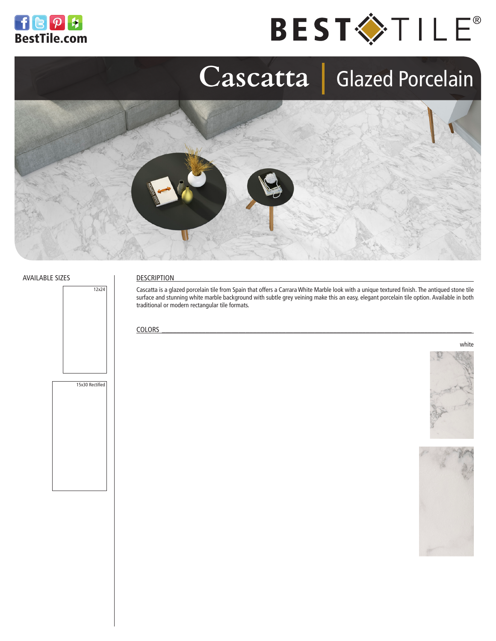





#### AVAILABLE SIZES



### DESCRIPTION

Cascatta is a glazed porcelain tile from Spain that offers a Carrara White Marble look with a unique textured finish. The antiqued stone tile surface and stunning white marble background with subtle grey veining make this an easy, elegant porcelain tile option. Available in both traditional or modern rectangular tile formats.

### $\text{COLORS}$





white